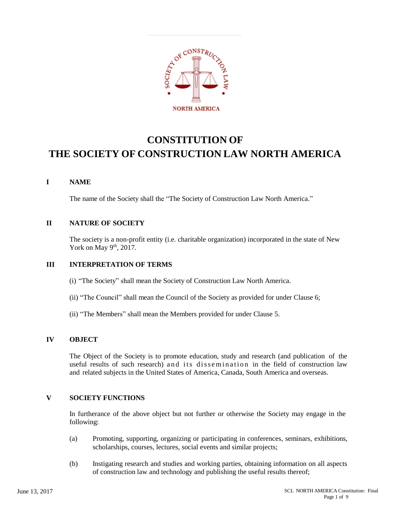

# **CONSTITUTION OF THE SOCIETY OF CONSTRUCTION LAW NORTH AMERICA**

## **I NAME**

The name of the Society shall the "The Society of Construction Law North America."

## **II NATURE OF SOCIETY**

The society is a non-profit entity (i.e. charitable organization) incorporated in the state of New York on May  $9<sup>th</sup>$ , 2017.

## **III INTERPRETATION OF TERMS**

- (i) "The Society" shall mean the Society of Construction Law North America.
- (ii) "The Council" shall mean the Council of the Society as provided for under Clause 6;
- (ii) "The Members" shall mean the Members provided for under Clause 5.

## **IV OBJECT**

The Object of the Society is to promote education, study and research (and publication of the useful results of such research) and its dissemination in the field of construction law and related subjects in the United States of America, Canada, South America and overseas.

## **V SOCIETY FUNCTIONS**

In furtherance of the above object but not further or otherwise the Society may engage in the following:

- (a) Promoting, supporting, organizing or participating in conferences, seminars, exhibitions, scholarships, courses, lectures, social events and similar projects;
- (b) Instigating research and studies and working parties, obtaining information on all aspects of construction law and technology and publishing the useful results thereof;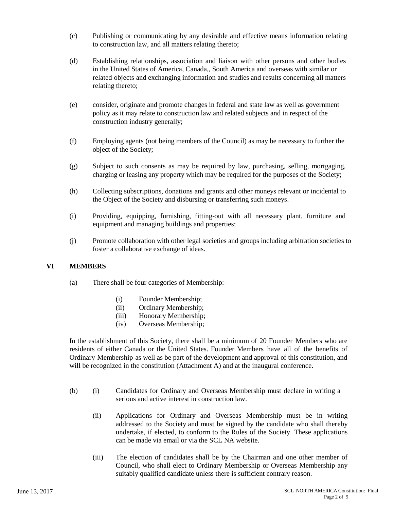- (c) Publishing or communicating by any desirable and effective means information relating to construction law, and all matters relating thereto;
- (d) Establishing relationships, association and liaison with other persons and other bodies in the United States of America, Canada,, South America and overseas with similar or related objects and exchanging information and studies and results concerning all matters relating thereto;
- (e) consider, originate and promote changes in federal and state law as well as government policy as it may relate to construction law and related subjects and in respect of the construction industry generally;
- (f) Employing agents (not being members of the Council) as may be necessary to further the object of the Society;
- (g) Subject to such consents as may be required by law, purchasing, selling, mortgaging, charging or leasing any property which may be required for the purposes of the Society;
- (h) Collecting subscriptions, donations and grants and other moneys relevant or incidental to the Object of the Society and disbursing or transferring such moneys.
- (i) Providing, equipping, furnishing, fitting-out with all necessary plant, furniture and equipment and managing buildings and properties;
- (j) Promote collaboration with other legal societies and groups including arbitration societies to foster a collaborative exchange of ideas.

#### **VI MEMBERS**

- (a) There shall be four categories of Membership:-
	- (i) Founder Membership;
	- (ii) Ordinary Membership;
	- (iii) Honorary Membership;
	- (iv) Overseas Membership;

In the establishment of this Society, there shall be a minimum of 20 Founder Members who are residents of either Canada or the United States. Founder Members have all of the benefits of Ordinary Membership as well as be part of the development and approval of this constitution, and will be recognized in the constitution (Attachment A) and at the inaugural conference.

- (b) (i) Candidates for Ordinary and Overseas Membership must declare in writing a serious and active interest in construction law.
	- (ii) Applications for Ordinary and Overseas Membership must be in writing addressed to the Society and must be signed by the candidate who shall thereby undertake, if elected, to conform to the Rules of the Society. These applications can be made via email or via the SCL NA website.
	- (iii) The election of candidates shall be by the Chairman and one other member of Council, who shall elect to Ordinary Membership or Overseas Membership any suitably qualified candidate unless there is sufficient contrary reason.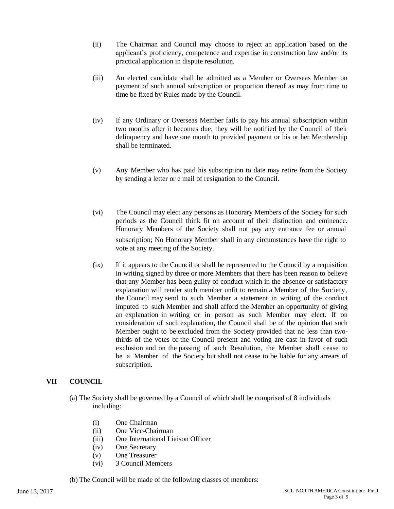- (ii) The Chairman and Council may choose to reject an application based on the applicant's proficiency, competence and expertise in construction law and/or its practical application in dispute resolution.
- (iii) An elected candidate shall be admitted as a Member or Overseas Member on payment of such annual subscription or proportion thereof as may from time to time be fixed by Rules made by the Council.
- (iv) If any Ordinary or Overseas Member fails to pay his annual subscription within two months after it becomes due, they will be notified by the Council of their delinquency and have one month to provided payment or his or her Membership shall be terminated.
- (v) Any Member who has paid his subscription to date may retire from the Society by sending a letter or e mail of resignation to the Council.
- (vi) The Council may elect any persons as Honorary Members of the Society for such periods as the Council think fit on account of their distinction and eminence. Honorary Members of the Society shall not pay any entrance fee or annual subscription; No Honorary Member shall in any circumstances have the right to vote at any meeting of the Society.
- (ix) If it appears to the Council or shall be represented to the Council by a requisition in writing signed by three or more Members that there has been reason to believe that any Member has been guilty of conduct which in the absence or satisfactory explanation will render such member unfit to remain a Member of the Society, the Council may send to such Member a statement in writing of the conduct imputed to such Member and shall afford the Member an opportunity of giving an explanation in writing or in person as such Member may elect. If on consideration of such explanation, the Council shall be of the opinion that such Member ought to be excluded from the Society provided that no less than twothirds of the votes of the Council present and voting are cast in favor of such exclusion and on the passing of such Resolution, the Member shall cease to be a Member of the Society but shall not cease to be liable for any arrears of subscription.

#### **VII COUNCIL**

- (a) The Society shall be governed by a Council of which shall be comprised of 8 individuals including:
	- (i) One Chairman
	- (ii) One Vice-Chairman
	- (iii) One International Liaison Officer
	- (iv) One Secretary
	- (v) One Treasurer
	- (vi) 3 Council Members
- (b) The Council will be made of the following classes of members: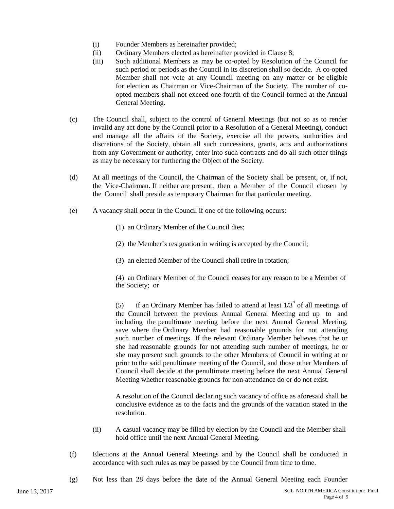- (i) Founder Members as hereinafter provided;
- (ii) Ordinary Members elected as hereinafter provided in Clause 8;
- (iii) Such additional Members as may be co-opted by Resolution of the Council for such period or periods as the Council in its discretion shall so decide. A co-opted Member shall not vote at any Council meeting on any matter or be eligible for election as Chairman or Vice-Chairman of the Society. The number of coopted members shall not exceed one-fourth of the Council formed at the Annual General Meeting.
- (c) The Council shall, subject to the control of General Meetings (but not so as to render invalid any act done by the Council prior to a Resolution of a General Meeting), conduct and manage all the affairs of the Society, exercise all the powers, authorities and discretions of the Society, obtain all such concessions, grants, acts and authorizations from any Government or authority, enter into such contracts and do all such other things as may be necessary for furthering the Object of the Society.
- (d) At all meetings of the Council, the Chairman of the Society shall be present, or, if not, the Vice-Chairman. If neither are present, then a Member of the Council chosen by the Council shall preside as temporary Chairman for that particular meeting.
- (e) A vacancy shall occur in the Council if one of the following occurs:
	- (1) an Ordinary Member of the Council dies;
	- (2) the Member's resignation in writing is accepted by the Council;
	- (3) an elected Member of the Council shall retire in rotation;

(4) an Ordinary Member of the Council ceases for any reason to be a Member of the Society; or

(5) if an Ordinary Member has failed to attend at least  $1/3<sup>nd</sup>$  of all meetings of the Council between the previous Annual General Meeting and up to and including the penultimate meeting before the next Annual General Meeting, save where the Ordinary Member had reasonable grounds for not attending such number of meetings. If the relevant Ordinary Member believes that he or she had reasonable grounds for not attending such number of meetings, he or she may present such grounds to the other Members of Council in writing at or prior to the said penultimate meeting of the Council, and those other Members of Council shall decide at the penultimate meeting before the next Annual General Meeting whether reasonable grounds for non-attendance do or do not exist.

A resolution of the Council declaring such vacancy of office as aforesaid shall be conclusive evidence as to the facts and the grounds of the vacation stated in the resolution.

- (ii) A casual vacancy may be filled by election by the Council and the Member shall hold office until the next Annual General Meeting.
- (f) Elections at the Annual General Meetings and by the Council shall be conducted in accordance with such rules as may be passed by the Council from time to time.
- (g) Not less than 28 days before the date of the Annual General Meeting each Founder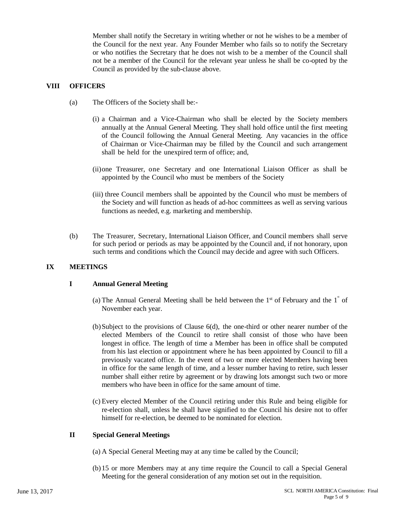Member shall notify the Secretary in writing whether or not he wishes to be a member of the Council for the next year. Any Founder Member who fails so to notify the Secretary or who notifies the Secretary that he does not wish to be a member of the Council shall not be a member of the Council for the relevant year unless he shall be co-opted by the Council as provided by the sub-clause above.

### **VIII OFFICERS**

- (a) The Officers of the Society shall be:-
	- (i) a Chairman and a Vice-Chairman who shall be elected by the Society members annually at the Annual General Meeting. They shall hold office until the first meeting of the Council following the Annual General Meeting. Any vacancies in the office of Chairman or Vice-Chairman may be filled by the Council and such arrangement shall be held for the unexpired term of office; and,
		- (ii)one Treasurer, one Secretary and one International Liaison Officer as shall be appointed by the Council who must be members of the Society
		- (iii) three Council members shall be appointed by the Council who must be members of the Society and will function as heads of ad-hoc committees as well as serving various functions as needed, e.g. marketing and membership.
- (b) The Treasurer, Secretary, International Liaison Officer, and Council members shall serve for such period or periods as may be appointed by the Council and, if not honorary, upon such terms and conditions which the Council may decide and agree with such Officers.

## **IX MEETINGS**

#### **I Annual General Meeting**

- (a) The Annual General Meeting shall be held between the  $1<sup>st</sup>$  of February and the  $1<sup>st</sup>$  of November each year.
- (b)Subject to the provisions of Clause 6(d), the one-third or other nearer number of the elected Members of the Council to retire shall consist of those who have been longest in office. The length of time a Member has been in office shall be computed from his last election or appointment where he has been appointed by Council to fill a previously vacated office. In the event of two or more elected Members having been in office for the same length of time, and a lesser number having to retire, such lesser number shall either retire by agreement or by drawing lots amongst such two or more members who have been in office for the same amount of time.
- (c) Every elected Member of the Council retiring under this Rule and being eligible for re-election shall, unless he shall have signified to the Council his desire not to offer himself for re-election, be deemed to be nominated for election.

#### **II Special General Meetings**

- (a) A Special General Meeting may at any time be called by the Council;
- (b)15 or more Members may at any time require the Council to call a Special General Meeting for the general consideration of any motion set out in the requisition.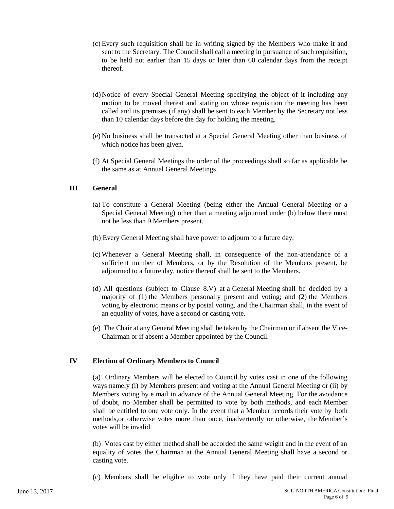- (c) Every such requisition shall be in writing signed by the Members who make it and sent to the Secretary. The Council shall call a meeting in pursuance of such requisition, to be held not earlier than 15 days or later than 60 calendar days from the receipt thereof.
- (d)Notice of every Special General Meeting specifying the object of it including any motion to be moved thereat and stating on whose requisition the meeting has been called and its premises (if any) shall be sent to each Member by the Secretary not less than 10 calendar days before the day for holding the meeting.
- (e) No business shall be transacted at a Special General Meeting other than business of which notice has been given.
- (f) At Special General Meetings the order of the proceedings shall so far as applicable be the same as at Annual General Meetings.

#### **III General**

- (a) To constitute a General Meeting (being either the Annual General Meeting or a Special General Meeting) other than a meeting adjourned under (b) below there must not be less than 9 Members present.
- (b) Every General Meeting shall have power to adjourn to a future day.
- (c) Whenever a General Meeting shall, in consequence of the non-attendance of a sufficient number of Members, or by the Resolution of the Members present, be adjourned to a future day, notice thereof shall be sent to the Members.
- (d) All questions (subject to Clause 8.V) at a General Meeting shall be decided by a majority of (1) the Members personally present and voting; and (2) the Members voting by electronic means or by postal voting, and the Chairman shall, in the event of an equality of votes, have a second or casting vote.
- (e) The Chair at any General Meeting shall be taken by the Chairman or if absent the Vice-Chairman or if absent a Member appointed by the Council.

#### **IV Election of Ordinary Members to Council**

(a) Ordinary Members will be elected to Council by votes cast in one of the following ways namely (i) by Members present and voting at the Annual General Meeting or (ii) by Members voting by e mail in advance of the Annual General Meeting. For the avoidance of doubt, no Member shall be permitted to vote by both methods, and each Member shall be entitled to one vote only. In the event that a Member records their vote by both methods,or otherwise votes more than once, inadvertently or otherwise, the Member's votes will be invalid.

(b) Votes cast by either method shall be accorded the same weight and in the event of an equality of votes the Chairman at the Annual General Meeting shall have a second or casting vote.

(c) Members shall be eligible to vote only if they have paid their current annual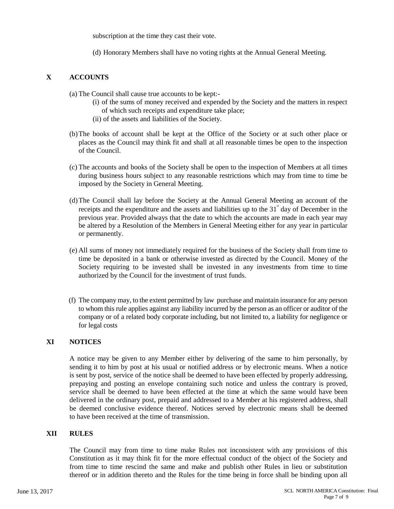subscription at the time they cast their vote.

(d) Honorary Members shall have no voting rights at the Annual General Meeting.

#### **X ACCOUNTS**

- (a) The Council shall cause true accounts to be kept:-
	- (i) of the sums of money received and expended by the Society and the matters in respect of which such receipts and expenditure take place;
	- (ii) of the assets and liabilities of the Society.
- (b)The books of account shall be kept at the Office of the Society or at such other place or places as the Council may think fit and shall at all reasonable times be open to the inspection of the Council.
- (c) The accounts and books of the Society shall be open to the inspection of Members at all times during business hours subject to any reasonable restrictions which may from time to time be imposed by the Society in General Meeting.
- (d)The Council shall lay before the Society at the Annual General Meeting an account of the receipts and the expenditure and the assets and liabilities up to the  $31^{\degree}$  day of December in the previous year. Provided always that the date to which the accounts are made in each year may be altered by a Resolution of the Members in General Meeting either for any year in particular or permanently.
- (e) All sums of money not immediately required for the business of the Society shall from time to time be deposited in a bank or otherwise invested as directed by the Council. Money of the Society requiring to be invested shall be invested in any investments from time to time authorized by the Council for the investment of trust funds.
- (f) The company may, to the extent permitted by law purchase and maintain insurance for any person to whom this rule applies against any liability incurred by the person as an officer or auditor of the company or of a related body corporate including, but not limited to, a liability for negligence or for legal costs

#### **XI NOTICES**

A notice may be given to any Member either by delivering of the same to him personally, by sending it to him by post at his usual or notified address or by electronic means. When a notice is sent by post, service of the notice shall be deemed to have been effected by properly addressing, prepaying and posting an envelope containing such notice and unless the contrary is proved, service shall be deemed to have been effected at the time at which the same would have been delivered in the ordinary post, prepaid and addressed to a Member at his registered address, shall be deemed conclusive evidence thereof. Notices served by electronic means shall be deemed to have been received at the time of transmission.

#### **XII RULES**

The Council may from time to time make Rules not inconsistent with any provisions of this Constitution as it may think fit for the more effectual conduct of the object of the Society and from time to time rescind the same and make and publish other Rules in lieu or substitution thereof or in addition thereto and the Rules for the time being in force shall be binding upon all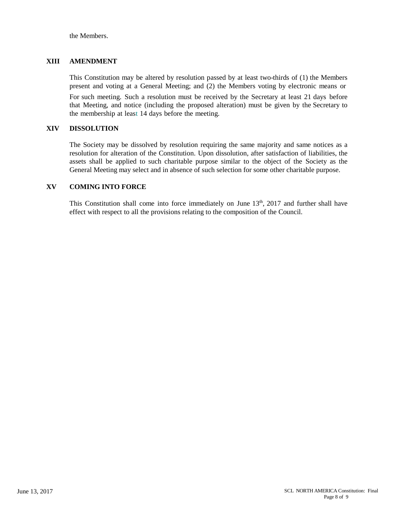the Members.

#### **XIII AMENDMENT**

This Constitution may be altered by resolution passed by at least two-thirds of (1) the Members present and voting at a General Meeting; and (2) the Members voting by electronic means or

For such meeting. Such a resolution must be received by the Secretary at least 21 days before that Meeting, and notice (including the proposed alteration) must be given by the Secretary to the membership at least 14 days before the meeting.

#### **XIV DISSOLUTION**

The Society may be dissolved by resolution requiring the same majority and same notices as a resolution for alteration of the Constitution. Upon dissolution, after satisfaction of liabilities, the assets shall be applied to such charitable purpose similar to the object of the Society as the General Meeting may select and in absence of such selection for some other charitable purpose.

#### **XV COMING INTO FORCE**

This Constitution shall come into force immediately on June  $13<sup>th</sup>$ , 2017 and further shall have effect with respect to all the provisions relating to the composition of the Council.